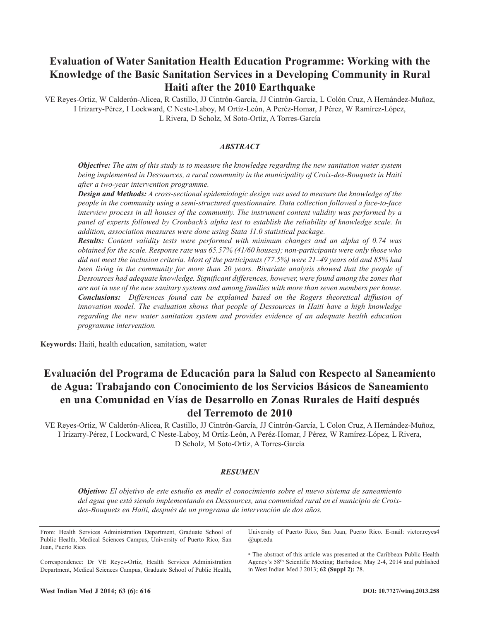# **Evaluation of Water Sanitation Health Education Programme: Working with the Knowledge of the Basic Sanitation Services in a Developing Community in Rural Haiti after the 2010 Earthquake**

VE Reyes-Ortiz, W Calderón-Alicea, R Castillo, JJ Cintrón-García, JJ Cintrón-García, L Colón Cruz, A Hernández-Muñoz, I Irizarry-Pérez, I Lockward, C Neste-Laboy, M Ortíz-León, A Peréz-Homar, J Pérez, W Ramírez-López, L Rivera, D Scholz, M Soto-Ortíz, A Torres-García

## *ABSTRACT*

*Objective: The aim of this study is to measure the knowledge regarding the new sanitation water system being implemented in Dessources, a rural community in the municipality of Croix-des-Bouquets in Haiti after a two-year intervention programme.*

*Design and Methods: A cross-sectional epidemiologic design was used to measure the knowledge of the people in the community using a semi-structured questionnaire. Data collection followed a face-to-face interview process in all houses of the community. The instrument content validity was performed by a panel of experts followed by Cronbach's alpha test to establish the reliability of knowledge scale. In addition, association measures were done using Stata 11.0 statistical package.*

*Results: Content validity tests were performed with minimum changes and an alpha of 0.74 was obtained for the scale. Response rate was 65.57% (41/60 houses); non-participants were only those who* did not meet the inclusion criteria. Most of the participants (77.5%) were 21–49 years old and 85% had *been living in the community for more than 20 years. Bivariate analysis showed that the people of Dessources had adequate knowledge. Significant differences, however, were found among the zones that* are not in use of the new sanitary systems and among families with more than seven members per house. *Conclusions: Differences found can be explained based on the Rogers theoretical diffusion of innovation model. The evaluation shows that people of Dessources in Haiti have a high knowledge regarding the new water sanitation system and provides evidence of an adequate health education programme intervention.*

**Keywords:** Haiti, health education, sanitation, water

# **Evaluación del Programa de Educación para la Salud con Respecto al Saneamiento de Agua: Trabajando con Conocimiento de los Servicios Básicos de Saneamiento en una Comunidad en Vías de Desarrollo en Zonas Rurales de Haití después del Terremoto de 2010**

VE Reyes-Ortiz, W Calderón-Alicea, R Castillo, JJ Cintrón-García, JJ Cintrón-García, L Colon Cruz, A Hernández-Muñoz, I Irizarry-Pérez, I Lockward, C Neste-Laboy, M Ortíz-León, A Peréz-Homar, J Pérez, W Ramírez-López, L Rivera, D Scholz, M Soto-Ortíz, A Torres-García

#### *RESUMEN*

*Objetivo: El objetivo de este estudio es medir el conocimiento sobre el nuevo sistema de saneamiento del agua que está siendo implementando en Dessources, una comunidad rural en el municipio de Croixdes-Bouquets en Haití, después de un programa de intervención de dos años.*

From: Health Services Administration Department, Graduate School of Public Health, Medical Sciences Campus, University of Puerto Rico, San Juan, Puerto Rico.

Correspondence: Dr VE Reyes-Ortiz, Health Services Administration Department, Medical Sciences Campus, Graduate School of Public Health, University of Puerto Rico, San Juan, Puerto Rico. E-mail: victor.reyes4 @upr.edu

\* The abstract of this article was presented at the Caribbean Public Health Agency's 58th Scientific Meeting; Barbados; May 2-4, 2014 and published in West Indian Med J 2013; **62 (Suppl 2):** 78.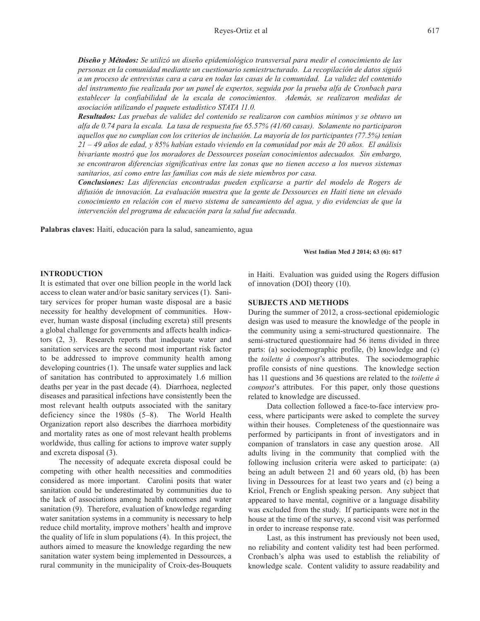*Diseño y Métodos: Se utilizó un diseño epidemiológico transversal para medir el conocimiento de las personas en la comunidad mediante un cuestionario semiestructurado. La recopilación de datos siguió* a un proceso de entrevistas cara a cara en todas las casas de la comunidad. La validez del contenido *del instrumento fue realizada por un panel de expertos, seguida por la prueba alfa de Cronbach para establecer la confiabilidad de la escala de conocimientos. Además, se realizaron medidas de asociación utilizando el paquete estadístico STATA 11.0.*

*Resultados: Las pruebas de validez del contenido se realizaron con cambios mínimos y se obtuvo un alfa de 0.74 para la escala. La tasa de respuesta fue 65.57% (41/60 casas). Solamente no participaron aquellos que no cumplían con los criterios de inclusión. La mayoría de los participantes (77.5%) tenían*  $21 - 49$  años de edad, y 85% habían estado viviendo en la comunidad por más de 20 años. El análisis *bivariante mostró que los moradores de Dessources poseían conocimientos adecuados. Sin embargo, se encontraron diferencias significativas entre las zonas que no tienen acceso a los nuevos sistemas sanitarios, así como entre las familias con más de siete miembros por casa.*

*Conclusiones: Las diferencias encontradas pueden explicarse a partir del modelo de Rogers de difusión de innovación. La evaluación muestra que la gente de Dessources en Haití tiene un elevado conocimiento en relación con el nuevo sistema de saneamiento del agua, y dio evidencias de que la intervención del programa de educación para la salud fue adecuada.*

**Palabras claves:** Haití, educación para la salud, saneamiento, agua

**West Indian Med J 2014; 63 (6): 617**

### **INTRODUCTION**

It is estimated that over one billion people in the world lack access to clean water and/or basic sanitary services (1). Sanitary services for proper human waste disposal are a basic necessity for healthy development of communities. However, human waste disposal (including excreta) still presents a global challenge for governments and affects health indicators (2, 3). Research reports that inadequate water and sanitation services are the second most important risk factor to be addressed to improve community health among developing countries (1). The unsafe water supplies and lack of sanitation has contributed to approximately 1.6 million deaths per year in the past decade (4). Diarrhoea, neglected diseases and parasitical infections have consistently been the most relevant health outputs associated with the sanitary deficiency since the 1980s (5–8). The World Health Organization report also describes the diarrhoea morbidity and mortality rates as one of most relevant health problems worldwide, thus calling for actions to improve water supply and excreta disposal (3).

The necessity of adequate excreta disposal could be competing with other health necessities and commodities considered as more important. Carolini posits that water sanitation could be underestimated by communities due to the lack of associations among health outcomes and water sanitation (9). Therefore, evaluation of knowledge regarding water sanitation systems in a community is necessary to help reduce child mortality, improve mothers' health and improve the quality of life in slum populations (4). In this project, the authors aimed to measure the knowledge regarding the new sanitation water system being implemented in Dessources, a rural community in the municipality of Croix-des-Bouquets

in Haiti. Evaluation was guided using the Rogers diffusion of innovation (DOI) theory (10).

### **SUBJECTS AND METHODS**

During the summer of 2012, a cross-sectional epidemiologic design was used to measure the knowledge of the people in the community using a semi-structured questionnaire. The semi-structured questionnaire had 56 items divided in three parts: (a) sociodemographic profile, (b) knowledge and (c) the *toilette à compost*'s attributes. The sociodemographic profile consists of nine questions. The knowledge section has 11 questions and 36 questions are related to the *toilette à compost*'s attributes. For this paper, only those questions related to knowledge are discussed.

Data collection followed a face-to-face interview process, where participants were asked to complete the survey within their houses. Completeness of the questionnaire was performed by participants in front of investigators and in companion of translators in case any question arose. All adults living in the community that complied with the following inclusion criteria were asked to participate: (a) being an adult between 21 and 60 years old, (b) has been living in Dessources for at least two years and (c) being a Kriol, French or English speaking person. Any subject that appeared to have mental, cognitive or a language disability was excluded from the study. If participants were not in the house at the time of the survey, a second visit was performed in order to increase response rate.

Last, as this instrument has previously not been used, no reliability and content validity test had been performed. Cronbach's alpha was used to establish the reliability of knowledge scale. Content validity to assure readability and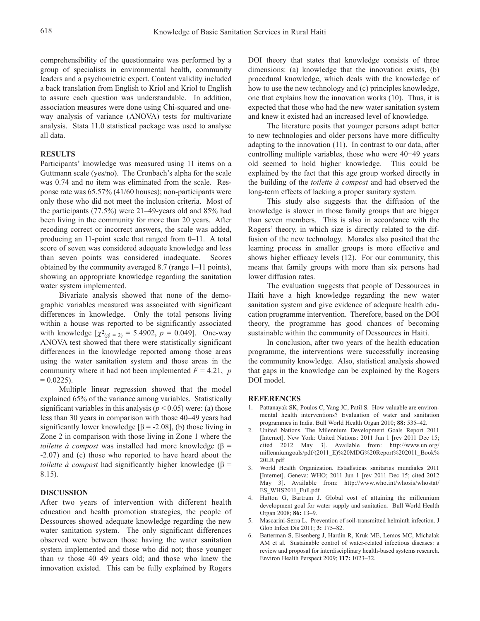comprehensibility of the questionnaire was performed by a group of specialists in environmental health, community leaders and a psychometric expert. Content validity included a back translation from English to Kriol and Kriol to English to assure each question was understandable. In addition, association measures were done using Chi-squared and oneway analysis of variance (ANOVA) tests for multivariate analysis. Stata 11.0 statistical package was used to analyse all data.

#### **RESULTS**

Participants' knowledge was measured using 11 items on a Guttmann scale (yes/no). The Cronbach's alpha for the scale was 0.74 and no item was eliminated from the scale. Response rate was 65.57% (41/60 houses); non-participants were only those who did not meet the inclusion criteria. Most of the participants (77.5%) were 21–49-years old and 85% had been living in the community for more than 20 years. After recoding correct or incorrect answers, the scale was added, producing an 11-point scale that ranged from 0–11. A total score of seven was considered adequate knowledge and less than seven points was considered inadequate. Scores obtained by the community averaged 8.7 (range 1–11 points), showing an appropriate knowledge regarding the sanitation water system implemented.

Bivariate analysis showed that none of the demographic variables measured was associated with significant differences in knowledge. Only the total persons living within a house was reported to be significantly associated with knowledge  $[\chi^2_{\text{g1} = 2)} = 5.4902$ ,  $p = 0.049$ ]. One-way ANOVA test showed that there were statistically significant differences in the knowledge reported among those areas using the water sanitation system and those areas in the community where it had not been implemented  $F = 4.21$ , *p*  $= 0.0225$ ).

Multiple linear regression showed that the model explained 65% of the variance among variables. Statistically significant variables in this analysis ( $p < 0.05$ ) were: (a) those less than 30 years in comparison with those 40–49 years had significantly lower knowledge  $[\beta = -2.08]$ , (b) those living in Zone 2 in comparison with those living in Zone 1 where the *toilette*  $\dot{a}$  *compost* was installed had more knowledge ( $\beta$  = -2.07) and (c) those who reported to have heard about the *toilette*  $\dot{a}$  *compost* had significantly higher knowledge ( $\beta$  = 8.15).

#### **DISCUSSION**

After two years of intervention with different health education and health promotion strategies, the people of Dessources showed adequate knowledge regarding the new water sanitation system. The only significant differences observed were between those having the water sanitation system implemented and those who did not; those younger than *vs* those 40–49 years old; and those who knew the innovation existed. This can be fully explained by Rogers

DOI theory that states that knowledge consists of three dimensions: (a) knowledge that the innovation exists, (b) procedural knowledge, which deals with the knowledge of how to use the new technology and (c) principles knowledge, one that explains how the innovation works (10). Thus, it is expected that those who had the new water sanitation system and knew it existed had an increased level of knowledge.

The literature posits that younger persons adapt better to new technologies and older persons have more difficulty adapting to the innovation (11). In contrast to our data, after controlling multiple variables, those who were 40−49 years old seemed to hold higher knowledge. This could be explained by the fact that this age group worked directly in the building of the *toilette à compost* and had observed the long-term effects of lacking a proper sanitary system.

This study also suggests that the diffusion of the knowledge is slower in those family groups that are bigger than seven members. This is also in accordance with the Rogers' theory, in which size is directly related to the diffusion of the new technology. Morales also posited that the learning process in smaller groups is more effective and shows higher efficacy levels (12). For our community, this means that family groups with more than six persons had lower diffusion rates.

The evaluation suggests that people of Dessources in Haiti have a high knowledge regarding the new water sanitation system and give evidence of adequate health education programme intervention. Therefore, based on the DOI theory, the programme has good chances of becoming sustainable within the community of Dessources in Haiti.

In conclusion, after two years of the health education programme, the interventions were successfully increasing the community knowledge. Also, statistical analysis showed that gaps in the knowledge can be explained by the Rogers DOI model.

#### **REFERENCES**

- 1. Pattanayak SK, Poulos C, Yang JC, Patil S. How valuable are environmental health interventions? Evaluation of water and sanitation programmes in India. Bull World Health Organ 2010; **88:** 535–42.
- 2. United Nations. The Milennium Development Goals Report 2011 [Internet]. New York: United Nations: 2011 Jun 1 [rev 2011 Dec 15; cited 2012 May 3]. Available from: http://www.un.org/ millenniumgoals/pdf/(2011\_E)%20MDG%20Report%202011\_Book% 20LR.pdf
- 3. World Health Organization. Estadísticas sanitarias mundiales 2011 [Internet]. Geneva: WHO; 2011 Jun 1 [rev 2011 Dec 15; cited 2012 May 3]. Available from: http://www.who.int/whosis/whostat/ ES\_WHS2011\_Full.pdf
- 4. Hutton G, Bartram J. Global cost of attaining the millennium development goal for water supply and sanitation*.* Bull World Health Organ 2008; **86:** 13–9.
- 5. Mascarini-Serra L. Prevention of soil-transmitted helminth infection. J Glob Infect Dis 2011; **3:** 175–82.
- 6. Batterman S, Eisenberg J, Hardin R, Kruk ME, Lemos MC, Michalak AM et al. Sustainable control of water-related infectious diseases: a review and proposal for interdisciplinary health-based systems research. Environ Health Perspect 2009; **117:** 1023–32.